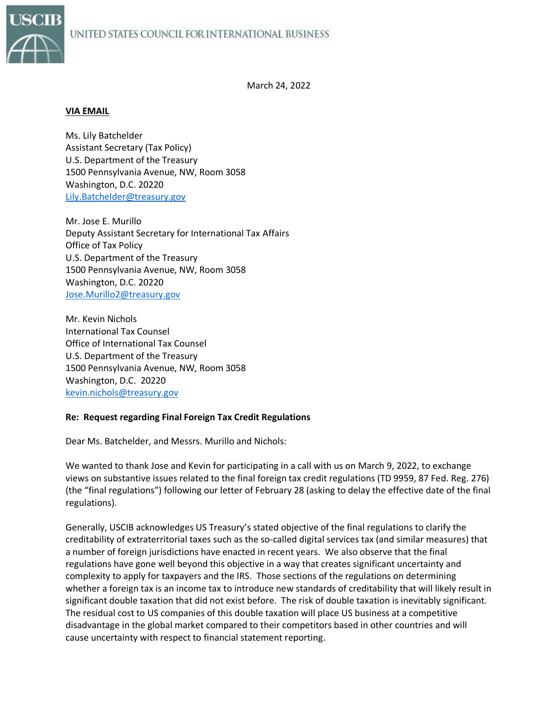

March 24, 2022

## **VIA EMAIL**

Ms. Lily Batchelder Assistant Secretary (Tax Policy) U.S. Department of the Treasury 1500 Pennsylvania Avenue, NW, Room 3058 Washington, D.C. 20220 [Lily.Batchelder@treasury.gov](mailto:Lily.Batchelder@treasury.gov)

Mr. Jose E. Murillo Deputy Assistant Secretary for International Tax Affairs Office of Tax Policy U.S. Department of the Treasury 1500 Pennsylvania Avenue, NW, Room 3058 Washington, D.C. 20220 [Jose.Murillo2@treasury.gov](mailto:Jose.Murillo2@treasury.gov)

Mr. Kevin Nichols International Tax Counsel Office of International Tax Counsel U.S. Department of the Treasury 1500 Pennsylvania Avenue, NW, Room 3058 Washington, D.C. 20220 [kevin.nichols@treasury.gov](mailto:kevin.nichols@treasury.gov)

## **Re: Request regarding Final Foreign Tax Credit Regulations**

Dear Ms. Batchelder, and Messrs. Murillo and Nichols:

We wanted to thank Jose and Kevin for participating in a call with us on March 9, 2022, to exchange views on substantive issues related to the final foreign tax credit regulations (TD 9959, 87 Fed. Reg. 276) (the "final regulations") following our letter of February 28 (asking to delay the effective date of the final regulations).

Generally, USCIB acknowledges US Treasury's stated objective of the final regulations to clarify the creditability of extraterritorial taxes such as the so-called digital services tax (and similar measures) that a number of foreign jurisdictions have enacted in recent years. We also observe that the final regulations have gone well beyond this objective in a way that creates significant uncertainty and complexity to apply for taxpayers and the IRS. Those sections of the regulations on determining whether a foreign tax is an income tax to introduce new standards of creditability that will likely result in significant double taxation that did not exist before. The risk of double taxation is inevitably significant. The residual cost to US companies of this double taxation will place US business at a competitive disadvantage in the global market compared to their competitors based in other countries and will cause uncertainty with respect to financial statement reporting.